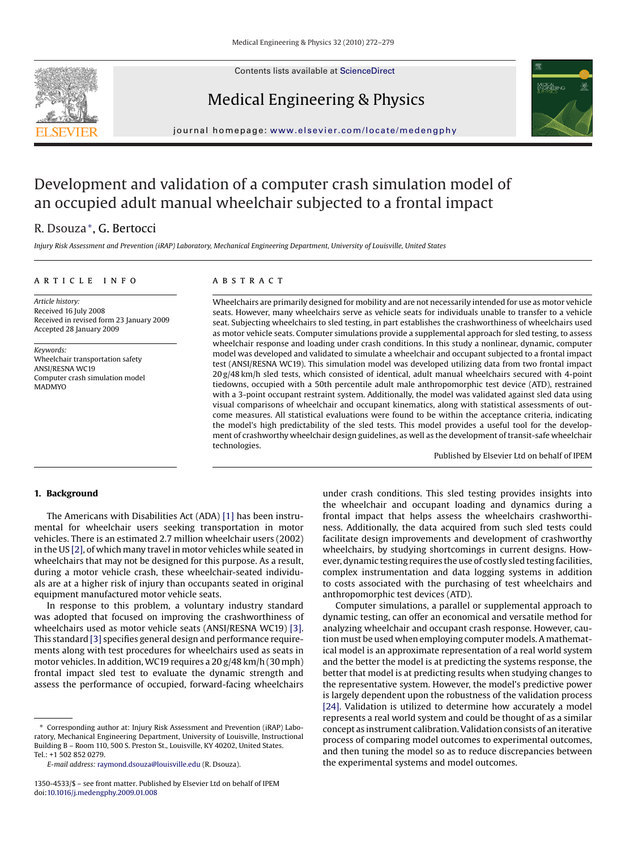

Contents lists available at [ScienceDirect](http://www.sciencedirect.com/science/journal/13504533)

## Medical Engineering & Physics



journal homepage: [www.elsevier.com/locate/medengphy](http://www.elsevier.com/locate/medengphy)

# Development and validation of a computer crash simulation model of an occupied adult manual wheelchair subjected to a frontal impact

### R. Dsouza∗, G. Bertocci

*Injury Risk Assessment and Prevention (iRAP) Laboratory, Mechanical Engineering Department, University of Louisville, United States*

#### article info

#### **ABSTRACT**

*Article history:* Received 16 July 2008 Received in revised form 23 January 2009 Accepted 28 January 2009

*Keywords:* Wheelchair transportation safety ANSI/RESNA WC19 Computer crash simulation model **MADMYO** 

Wheelchairs are primarily designed for mobility and are not necessarily intended for use as motor vehicle seats. However, many wheelchairs serve as vehicle seats for individuals unable to transfer to a vehicle seat. Subjecting wheelchairs to sled testing, in part establishes the crashworthiness of wheelchairs used as motor vehicle seats. Computer simulations provide a supplemental approach for sled testing, to assess wheelchair response and loading under crash conditions. In this study a nonlinear, dynamic, computer model was developed and validated to simulate a wheelchair and occupant subjected to a frontal impact test (ANSI/RESNA WC19). This simulation model was developed utilizing data from two frontal impact  $20 g/48$  km/h sled tests, which consisted of identical, adult manual wheelchairs secured with 4-point tiedowns, occupied with a 50th percentile adult male anthropomorphic test device (ATD), restrained with a 3-point occupant restraint system. Additionally, the model was validated against sled data using visual comparisons of wheelchair and occupant kinematics, along with statistical assessments of outcome measures. All statistical evaluations were found to be within the acceptance criteria, indicating the model's high predictability of the sled tests. This model provides a useful tool for the development of crashworthy wheelchair design guidelines, as well as the development of transit-safe wheelchair technologies.

Published by Elsevier Ltd on behalf of IPEM

#### **1. Background**

The Americans with Disabilities Act (ADA) [\[1\]](#page--1-0) has been instrumental for wheelchair users seeking transportation in motor vehicles. There is an estimated 2.7 million wheelchair users (2002) in the US [\[2\], o](#page--1-0)f which many travel in motor vehicles while seated in wheelchairs that may not be designed for this purpose. As a result, during a motor vehicle crash, these wheelchair-seated individuals are at a higher risk of injury than occupants seated in original equipment manufactured motor vehicle seats.

In response to this problem, a voluntary industry standard was adopted that focused on improving the crashworthiness of wheelchairs used as motor vehicle seats (ANSI/RESNA WC19) [\[3\].](#page--1-0) This standard [\[3\]](#page--1-0) specifies general design and performance requirements along with test procedures for wheelchairs used as seats in motor vehicles. In addition, WC19 requires a 20 g/48 km/h (30 mph) frontal impact sled test to evaluate the dynamic strength and assess the performance of occupied, forward-facing wheelchairs under crash conditions. This sled testing provides insights into the wheelchair and occupant loading and dynamics during a frontal impact that helps assess the wheelchairs crashworthiness. Additionally, the data acquired from such sled tests could facilitate design improvements and development of crashworthy wheelchairs, by studying shortcomings in current designs. However, dynamic testing requires the use of costly sled testing facilities, complex instrumentation and data logging systems in addition to costs associated with the purchasing of test wheelchairs and anthropomorphic test devices (ATD).

Computer simulations, a parallel or supplemental approach to dynamic testing, can offer an economical and versatile method for analyzing wheelchair and occupant crash response. However, caution must be used when employing computer models. A mathematical model is an approximate representation of a real world system and the better the model is at predicting the systems response, the better that model is at predicting results when studying changes to the representative system. However, the model's predictive power is largely dependent upon the robustness of the validation process [\[24\]. V](#page--1-0)alidation is utilized to determine how accurately a model represents a real world system and could be thought of as a similar concept as instrument calibration. Validation consists of an iterative process of comparing model outcomes to experimental outcomes, and then tuning the model so as to reduce discrepancies between the experimental systems and model outcomes.

<sup>∗</sup> Corresponding author at: Injury Risk Assessment and Prevention (iRAP) Laboratory, Mechanical Engineering Department, University of Louisville, Instructional Building B – Room 110, 500 S. Preston St., Louisville, KY 40202, United States. Tel.: +1 502 852 0279.

*E-mail address:* [raymond.dsouza@louisville.edu](mailto:raymond.dsouza@louisville.edu) (R. Dsouza).

<sup>1350-4533/\$ –</sup> see front matter. Published by Elsevier Ltd on behalf of IPEM doi:[10.1016/j.medengphy.2009.01.008](dx.doi.org/10.1016/j.medengphy.2009.01.008)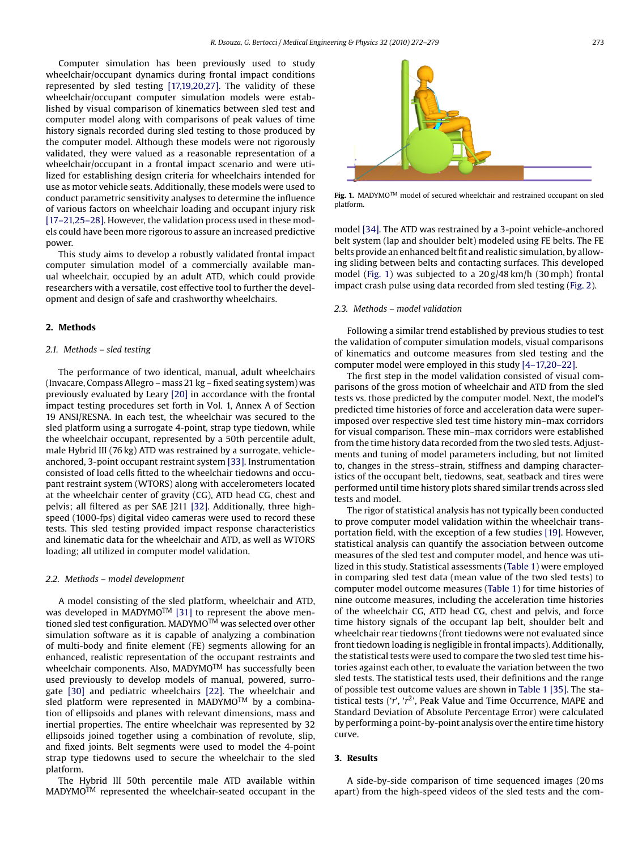Computer simulation has been previously used to study wheelchair/occupant dynamics during frontal impact conditions represented by sled testing [\[17,19,20,27\].](#page--1-0) The validity of these wheelchair/occupant computer simulation models were established by visual comparison of kinematics between sled test and computer model along with comparisons of peak values of time history signals recorded during sled testing to those produced by the computer model. Although these models were not rigorously validated, they were valued as a reasonable representation of a wheelchair/occupant in a frontal impact scenario and were utilized for establishing design criteria for wheelchairs intended for use as motor vehicle seats. Additionally, these models were used to conduct parametric sensitivity analyses to determine the influence of various factors on wheelchair loading and occupant injury risk [\[17–21,25–28\]. H](#page--1-0)owever, the validation process used in these models could have been more rigorous to assure an increased predictive power.

This study aims to develop a robustly validated frontal impact computer simulation model of a commercially available manual wheelchair, occupied by an adult ATD, which could provide researchers with a versatile, cost effective tool to further the development and design of safe and crashworthy wheelchairs.

#### **2. Methods**

#### *2.1. Methods – sled testing*

The performance of two identical, manual, adult wheelchairs (Invacare, Compass Allegro – mass 21 kg – fixed seating system) was previously evaluated by Leary [\[20\]](#page--1-0) in accordance with the frontal impact testing procedures set forth in Vol. 1, Annex A of Section 19 ANSI/RESNA. In each test, the wheelchair was secured to the sled platform using a surrogate 4-point, strap type tiedown, while the wheelchair occupant, represented by a 50th percentile adult, male Hybrid III (76 kg) ATD was restrained by a surrogate, vehicleanchored, 3-point occupant restraint system [\[33\]. I](#page--1-0)nstrumentation consisted of load cells fitted to the wheelchair tiedowns and occupant restraint system (WTORS) along with accelerometers located at the wheelchair center of gravity (CG), ATD head CG, chest and pelvis; all filtered as per SAE J211 [\[32\].](#page--1-0) Additionally, three highspeed (1000-fps) digital video cameras were used to record these tests. This sled testing provided impact response characteristics and kinematic data for the wheelchair and ATD, as well as WTORS loading; all utilized in computer model validation.

#### *2.2. Methods – model development*

A model consisting of the sled platform, wheelchair and ATD, was developed in MADYMO<sup>TM</sup> [\[31\]](#page--1-0) to represent the above mentioned sled test configuration. MADYMO<sup>TM</sup> was selected over other simulation software as it is capable of analyzing a combination of multi-body and finite element (FE) segments allowing for an enhanced, realistic representation of the occupant restraints and wheelchair components. Also, MADYMO<sup>TM</sup> has successfully been used previously to develop models of manual, powered, surrogate [\[30\]](#page--1-0) and pediatric wheelchairs [\[22\].](#page--1-0) The wheelchair and sled platform were represented in MADYMO<sup>TM</sup> by a combination of ellipsoids and planes with relevant dimensions, mass and inertial properties. The entire wheelchair was represented by 32 ellipsoids joined together using a combination of revolute, slip, and fixed joints. Belt segments were used to model the 4-point strap type tiedowns used to secure the wheelchair to the sled platform.

The Hybrid III 50th percentile male ATD available within MADYMOTM represented the wheelchair-seated occupant in the



Fig. 1. MADYMO<sup>TM</sup> model of secured wheelchair and restrained occupant on sled platform.

model [\[34\]. T](#page--1-0)he ATD was restrained by a 3-point vehicle-anchored belt system (lap and shoulder belt) modeled using FE belts. The FE belts provide an enhanced belt fit and realistic simulation, by allowing sliding between belts and contacting surfaces. This developed model (Fig. 1) was subjected to a 20 g/48 km/h (30 mph) frontal impact crash pulse using data recorded from sled testing [\(Fig. 2\).](#page--1-0)

#### *2.3. Methods – model validation*

Following a similar trend established by previous studies to test the validation of computer simulation models, visual comparisons of kinematics and outcome measures from sled testing and the computer model were employed in this study [\[4–17,20–22\].](#page--1-0)

The first step in the model validation consisted of visual comparisons of the gross motion of wheelchair and ATD from the sled tests vs. those predicted by the computer model. Next, the model's predicted time histories of force and acceleration data were superimposed over respective sled test time history min–max corridors for visual comparison. These min–max corridors were established from the time history data recorded from the two sled tests. Adjustments and tuning of model parameters including, but not limited to, changes in the stress–strain, stiffness and damping characteristics of the occupant belt, tiedowns, seat, seatback and tires were performed until time history plots shared similar trends across sled tests and model.

The rigor of statistical analysis has not typically been conducted to prove computer model validation within the wheelchair transportation field, with the exception of a few studies [\[19\]. H](#page--1-0)owever, statistical analysis can quantify the association between outcome measures of the sled test and computer model, and hence was utilized in this study. Statistical assessments ([Table 1\) w](#page--1-0)ere employed in comparing sled test data (mean value of the two sled tests) to computer model outcome measures ([Table 1\)](#page--1-0) for time histories of nine outcome measures, including the acceleration time histories of the wheelchair CG, ATD head CG, chest and pelvis, and force time history signals of the occupant lap belt, shoulder belt and wheelchair rear tiedowns (front tiedowns were not evaluated since front tiedown loading is negligible in frontal impacts). Additionally, the statistical tests were used to compare the two sled test time histories against each other, to evaluate the variation between the two sled tests. The statistical tests used, their definitions and the range of possible test outcome values are shown in [Table 1 \[35\]. T](#page--1-0)he statistical tests ('*r*', '*r*2', Peak Value and Time Occurrence, MAPE and Standard Deviation of Absolute Percentage Error) were calculated by performing a point-by-point analysis over the entire time history curve.

#### **3. Results**

A side-by-side comparison of time sequenced images (20 ms apart) from the high-speed videos of the sled tests and the com-